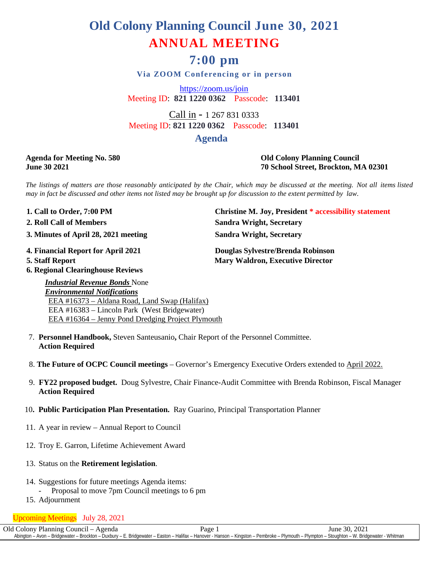# **Old Colony Planning Council June 30, 2021 ANNUAL MEETING**

## **7:00 pm**

**Via ZOOM Conferencing or in person**

<https://zoom.us/join> Meeting ID: **821 1220 0362** Passcode: **113401**

Call in - 1 267 831 0333 Meeting ID: **821 1220 0362** Passcode: **113401**

### **Agenda**

#### **Agenda for Meeting No. 580 Old Colony Planning Council June 30 2021 70 School Street, Brockton, MA 02301**

The listings of matters are those reasonably anticipated by the Chair, which may be discussed at the meeting. Not all items listed may in fact be discussed and other items not listed may be brought up for discussion to the extent permitted by law.

**3. Minutes of April 28, 2021 meeting Sandra Wright, Secretary**

**6. Regional Clearinghouse Reviews**

*Industrial Revenue Bonds* None *Environmental Notifications*

**1. Call to Order, 7:00 PM Christine M. Joy, President \* accessibility statement 2. Roll Call of Members Sandra Wright, Secretary**

**4. Financial Report for April 2021 Douglas Sylvestre/Brenda Robinson 5. Staff Report Mary Waldron, Executive Director** 

 EEA #16383 – Lincoln Park (West Bridgewater) EEA #16364 – Jenny Pond Dredging Project Plymouth

EEA #16373 – Aldana Road, Land Swap (Halifax)

- 7. **Personnel Handbook,** Steven Santeusanio**,** Chair Report of the Personnel Committee. **Action Required**
- 8. **The Future of OCPC Council meetings** Governor's Emergency Executive Orders extended to April 2022.
- 9. **FY22 proposed budget.** Doug Sylvestre, Chair Finance-Audit Committee with Brenda Robinson, Fiscal Manager **Action Required**
- 10**. Public Participation Plan Presentation.** Ray Guarino, Principal Transportation Planner
- 11. A year in review Annual Report to Council
- 12. Troy E. Garron, Lifetime Achievement Award
- 13. Status on the **Retirement legislation**.
- 14. Suggestions for future meetings Agenda items:
	- Proposal to move 7pm Council meetings to 6 pm
- 15. Adjournment

Upcoming Meetings July 28, 2021

Old Colony Planning Council – Agenda Page 1 June 30, 2021 Abington – Avon – Bridgewater – Brockton – Duxbury – E. Bridgewater – Easton – Halifax – Hanover - Hanson – Kingston – Pembroke – Plymouth – Plympton – Stoughton – W. Bridgewater - Whitman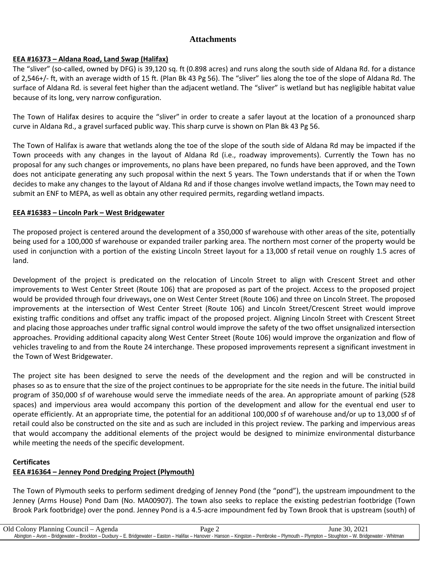### **Attachments**

#### **EEA #16373 – Aldana Road, Land Swap (Halifax)**

The "sliver" (so-called, owned by DFG) is 39,120 sq. ft (0.898 acres) and runs along the south side of Aldana Rd. for a distance of 2,546+/- ft, with an average width of 15 ft. (Plan Bk 43 Pg 56). The "sliver" lies along the toe of the slope of Aldana Rd. The surface of Aldana Rd. is several feet higher than the adjacent wetland. The "sliver" is wetland but has negligible habitat value because of its long, very narrow configuration.

The Town of Halifax desires to acquire the "sliver" in order to create a safer layout at the location of a pronounced sharp curve in Aldana Rd., a gravel surfaced public way. This sharp curve is shown on Plan Bk 43 Pg 56.

The Town of Halifax is aware that wetlands along the toe of the slope of the south side of Aldana Rd may be impacted if the Town proceeds with any changes in the layout of Aldana Rd (i.e., roadway improvements). Currently the Town has no proposal for any such changes or improvements, no plans have been prepared, no funds have been approved, and the Town does not anticipate generating any such proposal within the next 5 years. The Town understands that if or when the Town decides to make any changes to the layout of Aldana Rd and if those changes involve wetland impacts, the Town may need to submit an ENF to MEPA, as well as obtain any other required permits, regarding wetland impacts.

#### **EEA #16383 – Lincoln Park – West Bridgewater**

The proposed project is centered around the development of a 350,000 sf warehouse with other areas of the site, potentially being used for a 100,000 sf warehouse or expanded trailer parking area. The northern most corner of the property would be used in conjunction with a portion of the existing Lincoln Street layout for a 13,000 sf retail venue on roughly 1.5 acres of land.

Development of the project is predicated on the relocation of Lincoln Street to align with Crescent Street and other improvements to West Center Street (Route 106) that are proposed as part of the project. Access to the proposed project would be provided through four driveways, one on West Center Street (Route 106) and three on Lincoln Street. The proposed improvements at the intersection of West Center Street (Route 106) and Lincoln Street/Crescent Street would improve existing traffic conditions and offset any traffic impact of the proposed project. Aligning Lincoln Street with Crescent Street and placing those approaches under traffic signal control would improve the safety of the two offset unsignalized intersection approaches. Providing additional capacity along West Center Street (Route 106) would improve the organization and flow of vehicles traveling to and from the Route 24 interchange. These proposed improvements represent a significant investment in the Town of West Bridgewater.

The project site has been designed to serve the needs of the development and the region and will be constructed in phases so as to ensure that the size of the project continues to be appropriate for the site needs in the future. The initial build program of 350,000 sf of warehouse would serve the immediate needs of the area. An appropriate amount of parking (528 spaces) and impervious area would accompany this portion of the development and allow for the eventual end user to operate efficiently. At an appropriate time, the potential for an additional 100,000 sf of warehouse and/or up to 13,000 sf of retail could also be constructed on the site and as such are included in this project review. The parking and impervious areas that would accompany the additional elements of the project would be designed to minimize environmental disturbance while meeting the needs of the specific development.

#### **Certificates**

### **EEA #16364 – Jenney Pond Dredging Project (Plymouth)**

The Town of Plymouth seeks to perform sediment dredging of Jenney Pond (the "pond"), the upstream impoundment to the Jenney (Arms House) Pond Dam (No. MA00907). The town also seeks to replace the existing pedestrian footbridge (Town Brook Park footbridge) over the pond. Jenney Pond is a 4.5-acre impoundment fed by Town Brook that is upstream (south) of

| Old Colony Planning Council - Agenda | Page $\angle$                                                                                                                                                                                | June 30. 2021 |
|--------------------------------------|----------------------------------------------------------------------------------------------------------------------------------------------------------------------------------------------|---------------|
|                                      |                                                                                                                                                                                              |               |
|                                      | Abington – Avon – Bridgewater – Brockton – Duxbury – E. Bridgewater – Easton – Halifax – Hanover - Hanson – Kingston – Pembroke – Plymouth – Plympton – Stoughton – W. Bridgewater - Whitman |               |
|                                      |                                                                                                                                                                                              |               |